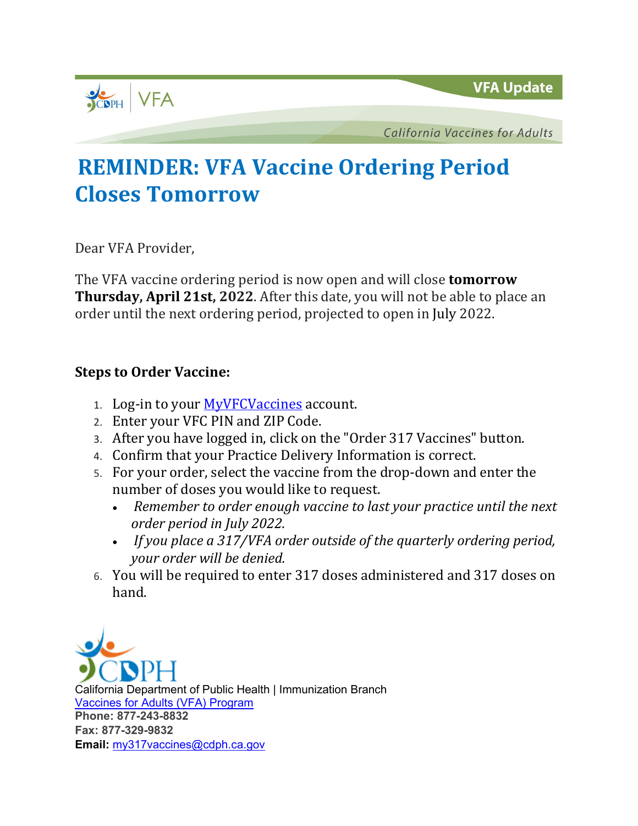

**California Vaccines for Adults** 

## **REMINDER: VFA Vaccine Ordering Period Closes Tomorrow**

Dear VFA Provider,

The VFA vaccine ordering period is now open and will close **tomorrow Thursday, April 21st, 2022**. After this date, you will not be able to place an order until the next ordering period, projected to open in July 2022.

## **Steps to Order Vaccine:**

- 1. Log-in to your [MyVFCVaccines](https://eziz.org/myvfcvaccines/) account.
- 2. Enter your VFC PIN and ZIP Code.
- 3. After you have logged in, click on the "Order 317 Vaccines" button.
- 4. Confirm that your Practice Delivery Information is correct.
- 5. For your order, select the vaccine from the drop-down and enter the number of doses you would like to request.
	- *Remember to order enough vaccine to last your practice until the next order period in July 2022.*
	- *If you place a 317/VFA order outside of the quarterly ordering period, your order will be denied.*
- 6. You will be required to enter 317 doses administered and 317 doses on hand.

California Department of Public Health | Immunization Branch [Vaccines for Adults \(VFA\) Program](http://eziz.org/vfa-317/vfa-resources/) **Phone: 877-243-8832 Fax: 877-329-9832 Email:** [my317vaccines@cdph.ca.gov](mailto:my317vaccines@cdph.ca.gov)